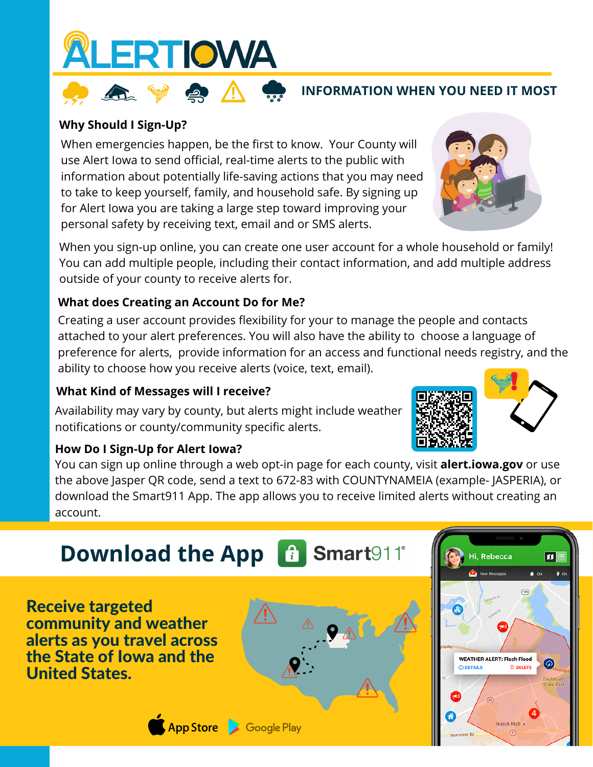

### **INFORMATION WHEN YOU NEED IT MOST**

### **Why Should I Sign-Up?**

When emergencies happen, be the first to know. Your County will use Alert Iowa to send official, real-time alerts to the public with information about potentially life-saving actions that you may need to take to keep yourself, family, and household safe. By signing up for Alert Iowa you are taking a large step toward improving your personal safety by receiving text, email and or SMS alerts.

When you sign-up online, you can create one user account for a whole household or family! You can add multiple people, including their contact information, and add multiple address outside of your county to receive alerts for.

### **What does Creating an Account Do for Me?**

Creating a user account provides flexibility for your to manage the people and contacts attached to your alert preferences. You will also have the ability to choose a language of preference for alerts, provide information for an access and functional needs registry, and the ability to choose how you receive alerts (voice, text, email).

### **What Kind of Messages will I receive?**

Availability may vary by county, but alerts might include weather notifications or county/community specific alerts.

#### **How Do I Sign-Up for Alert Iowa?**

You can sign up online through a web opt-in page for each county, visit **alert.iowa.gov** or use the above Jasper QR code, send a text to 672-83 with COUNTYNAMEIA (example- JASPERIA), or download the Smart911 App. The app allows you to receive limited alerts without creating an account.